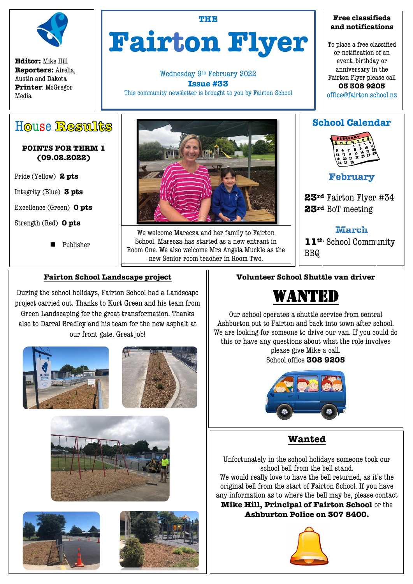

**Editor:** Mike Hill **Reporters:** Airelia, Austin and Dakota **Printer**: McGregor Media

**THE**

# **Fairton Flyer**

Wednesday 9th February 2022 **Issue #33** This community newsletter is brought to you by Fairton School

#### **Free classifieds and notifications**

To place a free classified or notification of an event, birthday or anniversary in the Fairton Flyer please call **03 308 9205**

office@fairton.school.nz

# House Restults

## **POINTS FOR TERM 1 (09.02.2022)**

Pride (Yellow) **2 pts**

Integrity (Blue) **3 pts**

Excellence (Green) **0 pts**

Strength (Red) **0 pts**

Publisher



We welcome Marecza and her family to Fairton School. Marecza has started as a new entrant in Room One. We also welcome Mrs Angela Muckle as the new Senior room teacher in Room Two.

# **School Calendar**



**February**

**23rd** Fairton Flyer #34 **23rd** BoT meeting

**March 11th** School Community BBQ

# **Fairton School Landscape project**

During the school holidays, Fairton School had a Landscape project carried out. Thanks to Kurt Green and his team from Green Landscaping for the great transformation. Thanks also to Darral Bradley and his team for the new asphalt at our front gate. Great job!









# **Volunteer School Shuttle van driver**



Our school operates a shuttle service from central Ashburton out to Fairton and back into town after school. We are looking for someone to drive our van. If you could do this or have any questions about what the role involves please give Mike a call.

School office **308 9205**



**Wanted**

Unfortunately in the school holidays someone took our school bell from the bell stand.

We would really love to have the bell returned, as it's the original bell from the start of Fairton School. If you have any information as to where the bell may be, please contact

**Mike Hill, Principal of Fairton School** or the **Ashburton Police on 307 8400.**